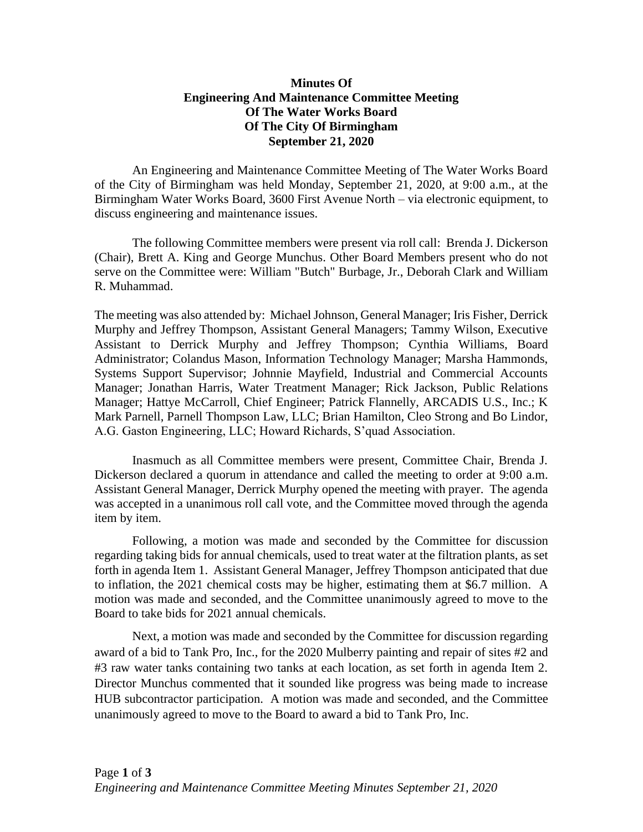## **Minutes Of Engineering And Maintenance Committee Meeting Of The Water Works Board Of The City Of Birmingham September 21, 2020**

An Engineering and Maintenance Committee Meeting of The Water Works Board of the City of Birmingham was held Monday, September 21, 2020, at 9:00 a.m., at the Birmingham Water Works Board, 3600 First Avenue North – via electronic equipment, to discuss engineering and maintenance issues.

The following Committee members were present via roll call: Brenda J. Dickerson (Chair), Brett A. King and George Munchus. Other Board Members present who do not serve on the Committee were: William "Butch" Burbage, Jr., Deborah Clark and William R. Muhammad.

The meeting was also attended by: Michael Johnson, General Manager; Iris Fisher, Derrick Murphy and Jeffrey Thompson, Assistant General Managers; Tammy Wilson, Executive Assistant to Derrick Murphy and Jeffrey Thompson; Cynthia Williams, Board Administrator; Colandus Mason, Information Technology Manager; Marsha Hammonds, Systems Support Supervisor; Johnnie Mayfield, Industrial and Commercial Accounts Manager; Jonathan Harris, Water Treatment Manager; Rick Jackson, Public Relations Manager; Hattye McCarroll, Chief Engineer; Patrick Flannelly, ARCADIS U.S., Inc.; K Mark Parnell, Parnell Thompson Law, LLC; Brian Hamilton, Cleo Strong and Bo Lindor, A.G. Gaston Engineering, LLC; Howard Richards, S'quad Association.

Inasmuch as all Committee members were present, Committee Chair, Brenda J. Dickerson declared a quorum in attendance and called the meeting to order at 9:00 a.m. Assistant General Manager, Derrick Murphy opened the meeting with prayer. The agenda was accepted in a unanimous roll call vote, and the Committee moved through the agenda item by item.

Following, a motion was made and seconded by the Committee for discussion regarding taking bids for annual chemicals, used to treat water at the filtration plants, as set forth in agenda Item 1. Assistant General Manager, Jeffrey Thompson anticipated that due to inflation, the 2021 chemical costs may be higher, estimating them at \$6.7 million. A motion was made and seconded, and the Committee unanimously agreed to move to the Board to take bids for 2021 annual chemicals.

Next, a motion was made and seconded by the Committee for discussion regarding award of a bid to Tank Pro, Inc., for the 2020 Mulberry painting and repair of sites #2 and #3 raw water tanks containing two tanks at each location, as set forth in agenda Item 2. Director Munchus commented that it sounded like progress was being made to increase HUB subcontractor participation. A motion was made and seconded, and the Committee unanimously agreed to move to the Board to award a bid to Tank Pro, Inc.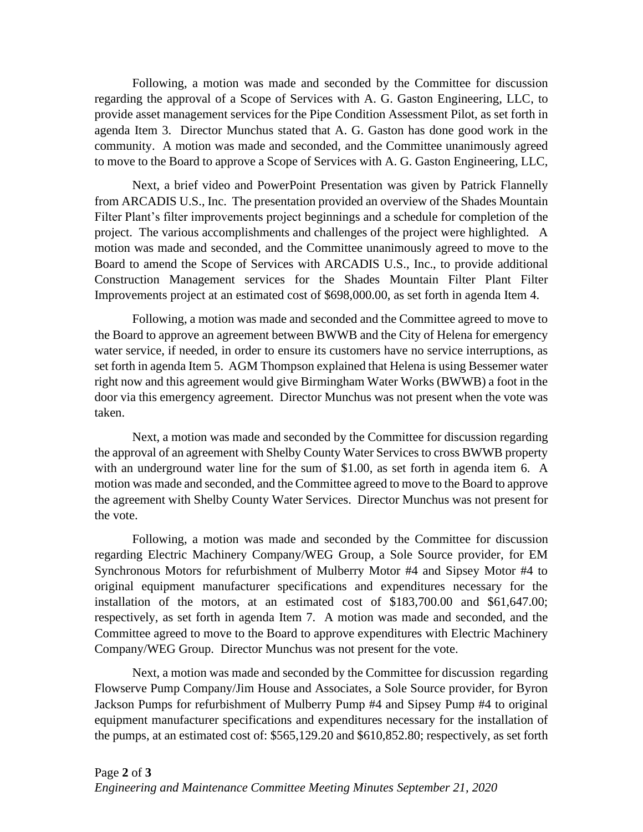Following, a motion was made and seconded by the Committee for discussion regarding the approval of a Scope of Services with A. G. Gaston Engineering, LLC, to provide asset management services for the Pipe Condition Assessment Pilot, as set forth in agenda Item 3. Director Munchus stated that A. G. Gaston has done good work in the community. A motion was made and seconded, and the Committee unanimously agreed to move to the Board to approve a Scope of Services with A. G. Gaston Engineering, LLC,

Next, a brief video and PowerPoint Presentation was given by Patrick Flannelly from ARCADIS U.S., Inc. The presentation provided an overview of the Shades Mountain Filter Plant's filter improvements project beginnings and a schedule for completion of the project. The various accomplishments and challenges of the project were highlighted. A motion was made and seconded, and the Committee unanimously agreed to move to the Board to amend the Scope of Services with ARCADIS U.S., Inc., to provide additional Construction Management services for the Shades Mountain Filter Plant Filter Improvements project at an estimated cost of \$698,000.00, as set forth in agenda Item 4.

Following, a motion was made and seconded and the Committee agreed to move to the Board to approve an agreement between BWWB and the City of Helena for emergency water service, if needed, in order to ensure its customers have no service interruptions, as set forth in agenda Item 5. AGM Thompson explained that Helena is using Bessemer water right now and this agreement would give Birmingham Water Works (BWWB) a foot in the door via this emergency agreement. Director Munchus was not present when the vote was taken.

Next, a motion was made and seconded by the Committee for discussion regarding the approval of an agreement with Shelby County Water Services to cross BWWB property with an underground water line for the sum of \$1.00, as set forth in agenda item 6. A motion was made and seconded, and the Committee agreed to move to the Board to approve the agreement with Shelby County Water Services. Director Munchus was not present for the vote.

Following, a motion was made and seconded by the Committee for discussion regarding Electric Machinery Company/WEG Group, a Sole Source provider, for EM Synchronous Motors for refurbishment of Mulberry Motor #4 and Sipsey Motor #4 to original equipment manufacturer specifications and expenditures necessary for the installation of the motors, at an estimated cost of \$183,700.00 and \$61,647.00; respectively, as set forth in agenda Item 7. A motion was made and seconded, and the Committee agreed to move to the Board to approve expenditures with Electric Machinery Company/WEG Group. Director Munchus was not present for the vote.

Next, a motion was made and seconded by the Committee for discussion regarding Flowserve Pump Company/Jim House and Associates, a Sole Source provider, for Byron Jackson Pumps for refurbishment of Mulberry Pump #4 and Sipsey Pump #4 to original equipment manufacturer specifications and expenditures necessary for the installation of the pumps, at an estimated cost of: \$565,129.20 and \$610,852.80; respectively, as set forth